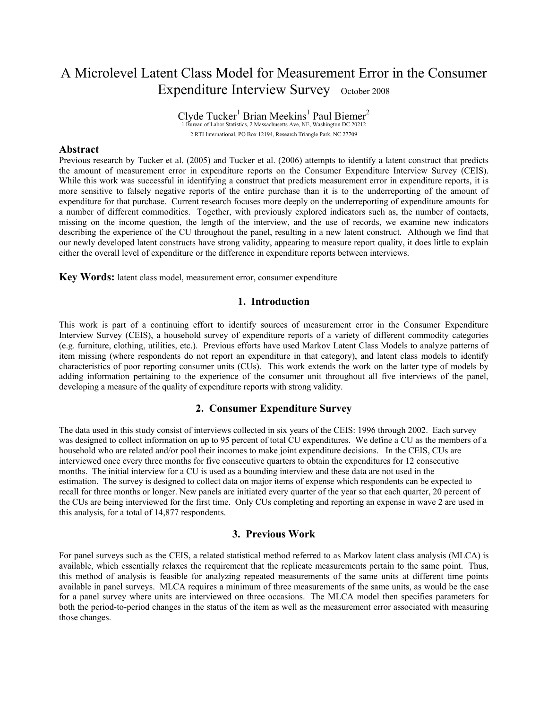# A Microlevel Latent Class Model for Measurement Error in the Consumer Expenditure Interview Survey October 2008

 $\text{Clyde Tucker}^1 \text{ Brian Meekins}^1 \text{ Paul Biemer}^2 \over 1 \text{ Bureau of Labor Statistics}, 2 \text{ Massachusetts Ave, NE, Washington DC 20212}}$ 2 RTI International, PO Box 12194, Research Triangle Park, NC 27709

#### **Abstract**

Previous research by Tucker et al. (2005) and Tucker et al. (2006) attempts to identify a latent construct that predicts the amount of measurement error in expenditure reports on the Consumer Expenditure Interview Survey (CEIS). While this work was successful in identifying a construct that predicts measurement error in expenditure reports, it is more sensitive to falsely negative reports of the entire purchase than it is to the underreporting of the amount of expenditure for that purchase. Current research focuses more deeply on the underreporting of expenditure amounts for a number of different commodities. Together, with previously explored indicators such as, the number of contacts, missing on the income question, the length of the interview, and the use of records, we examine new indicators describing the experience of the CU throughout the panel, resulting in a new latent construct. Although we find that our newly developed latent constructs have strong validity, appearing to measure report quality, it does little to explain either the overall level of expenditure or the difference in expenditure reports between interviews.

**Key Words:** latent class model, measurement error, consumer expenditure

## **1. Introduction**

This work is part of a continuing effort to identify sources of measurement error in the Consumer Expenditure Interview Survey (CEIS), a household survey of expenditure reports of a variety of different commodity categories (e.g. furniture, clothing, utilities, etc.). Previous efforts have used Markov Latent Class Models to analyze patterns of item missing (where respondents do not report an expenditure in that category), and latent class models to identify characteristics of poor reporting consumer units (CUs). This work extends the work on the latter type of models by adding information pertaining to the experience of the consumer unit throughout all five interviews of the panel, developing a measure of the quality of expenditure reports with strong validity.

#### **2. Consumer Expenditure Survey**

The data used in this study consist of interviews collected in six years of the CEIS: 1996 through 2002. Each survey was designed to collect information on up to 95 percent of total CU expenditures. We define a CU as the members of a household who are related and/or pool their incomes to make joint expenditure decisions. In the CEIS, CUs are interviewed once every three months for five consecutive quarters to obtain the expenditures for 12 consecutive months. The initial interview for a CU is used as a bounding interview and these data are not used in the estimation. The survey is designed to collect data on major items of expense which respondents can be expected to recall for three months or longer. New panels are initiated every quarter of the year so that each quarter, 20 percent of the CUs are being interviewed for the first time. Only CUs completing and reporting an expense in wave 2 are used in this analysis, for a total of 14,877 respondents.

## **3. Previous Work**

For panel surveys such as the CEIS, a related statistical method referred to as Markov latent class analysis (MLCA) is available, which essentially relaxes the requirement that the replicate measurements pertain to the same point. Thus, this method of analysis is feasible for analyzing repeated measurements of the same units at different time points available in panel surveys. MLCA requires a minimum of three measurements of the same units, as would be the case for a panel survey where units are interviewed on three occasions. The MLCA model then specifies parameters for both the period-to-period changes in the status of the item as well as the measurement error associated with measuring those changes.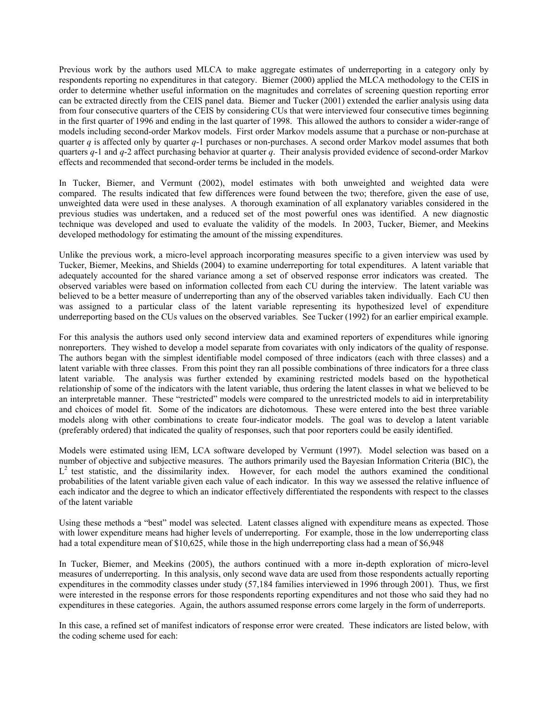Previous work by the authors used MLCA to make aggregate estimates of underreporting in a category only by respondents reporting no expenditures in that category. Biemer (2000) applied the MLCA methodology to the CEIS in order to determine whether useful information on the magnitudes and correlates of screening question reporting error can be extracted directly from the CEIS panel data. Biemer and Tucker (2001) extended the earlier analysis using data from four consecutive quarters of the CEIS by considering CUs that were interviewed four consecutive times beginning in the first quarter of 1996 and ending in the last quarter of 1998. This allowed the authors to consider a wider-range of models including second-order Markov models. First order Markov models assume that a purchase or non-purchase at quarter *q* is affected only by quarter *q*-1 purchases or non-purchases. A second order Markov model assumes that both quarters *q*-1 and *q*-2 affect purchasing behavior at quarter *q*. Their analysis provided evidence of second-order Markov effects and recommended that second-order terms be included in the models.

In Tucker, Biemer, and Vermunt (2002), model estimates with both unweighted and weighted data were compared. The results indicated that few differences were found between the two; therefore, given the ease of use, unweighted data were used in these analyses. A thorough examination of all explanatory variables considered in the previous studies was undertaken, and a reduced set of the most powerful ones was identified. A new diagnostic technique was developed and used to evaluate the validity of the models. In 2003, Tucker, Biemer, and Meekins developed methodology for estimating the amount of the missing expenditures.

Unlike the previous work, a micro-level approach incorporating measures specific to a given interview was used by Tucker, Biemer, Meekins, and Shields (2004) to examine underreporting for total expenditures. A latent variable that adequately accounted for the shared variance among a set of observed response error indicators was created. The observed variables were based on information collected from each CU during the interview. The latent variable was believed to be a better measure of underreporting than any of the observed variables taken individually. Each CU then was assigned to a particular class of the latent variable representing its hypothesized level of expenditure underreporting based on the CUs values on the observed variables. See Tucker (1992) for an earlier empirical example.

For this analysis the authors used only second interview data and examined reporters of expenditures while ignoring nonreporters. They wished to develop a model separate from covariates with only indicators of the quality of response. The authors began with the simplest identifiable model composed of three indicators (each with three classes) and a latent variable with three classes. From this point they ran all possible combinations of three indicators for a three class latent variable. The analysis was further extended by examining restricted models based on the hypothetical relationship of some of the indicators with the latent variable, thus ordering the latent classes in what we believed to be an interpretable manner. These "restricted" models were compared to the unrestricted models to aid in interpretability and choices of model fit. Some of the indicators are dichotomous. These were entered into the best three variable models along with other combinations to create four-indicator models. The goal was to develop a latent variable (preferably ordered) that indicated the quality of responses, such that poor reporters could be easily identified.

Models were estimated using lEM, LCA software developed by Vermunt (1997). Model selection was based on a number of objective and subjective measures. The authors primarily used the Bayesian Information Criteria (BIC), the  $L<sup>2</sup>$  test statistic, and the dissimilarity index. However, for each model the authors examined the conditional probabilities of the latent variable given each value of each indicator. In this way we assessed the relative influence of each indicator and the degree to which an indicator effectively differentiated the respondents with respect to the classes of the latent variable

Using these methods a "best" model was selected. Latent classes aligned with expenditure means as expected. Those with lower expenditure means had higher levels of underreporting. For example, those in the low underreporting class had a total expenditure mean of \$10,625, while those in the high underreporting class had a mean of \$6,948

In Tucker, Biemer, and Meekins (2005), the authors continued with a more in-depth exploration of micro-level measures of underreporting. In this analysis, only second wave data are used from those respondents actually reporting expenditures in the commodity classes under study (57,184 families interviewed in 1996 through 2001). Thus, we first were interested in the response errors for those respondents reporting expenditures and not those who said they had no expenditures in these categories. Again, the authors assumed response errors come largely in the form of underreports.

In this case, a refined set of manifest indicators of response error were created. These indicators are listed below, with the coding scheme used for each: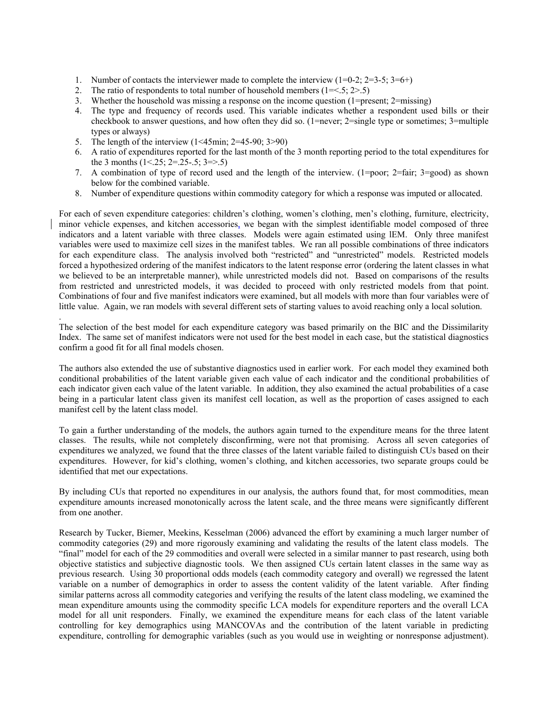- 1. Number of contacts the interviewer made to complete the interview  $(1=0-2; 2=3-5; 3=6+)$ <br>2. The ratio of respondents to total number of household members  $(1=<5; 2>5)$
- The ratio of respondents to total number of household members  $(1 = 5; 2 > 5)$
- 3. Whether the household was missing a response on the income question (1=present; 2=missing)
- 4. The type and frequency of records used. This variable indicates whether a respondent used bills or their checkbook to answer questions, and how often they did so. (1=never; 2=single type or sometimes; 3=multiple types or always)
- 5. The length of the interview (1<45min; 2=45-90; 3>90)

.

- 6. A ratio of expenditures reported for the last month of the 3 month reporting period to the total expenditures for the 3 months  $(1<.25; 2=.25-.5; 3=>.5)$
- 7. A combination of type of record used and the length of the interview. (1=poor; 2=fair; 3=good) as shown below for the combined variable.
- 8. Number of expenditure questions within commodity category for which a response was imputed or allocated.

For each of seven expenditure categories: children's clothing, women's clothing, men's clothing, furniture, electricity, minor vehicle expenses, and kitchen accessories, we began with the simplest identifiable model composed of three indicators and a latent variable with three classes. Models were again estimated using lEM. Only three manifest variables were used to maximize cell sizes in the manifest tables. We ran all possible combinations of three indicators for each expenditure class. The analysis involved both "restricted" and "unrestricted" models. Restricted models forced a hypothesized ordering of the manifest indicators to the latent response error (ordering the latent classes in what we believed to be an interpretable manner), while unrestricted models did not. Based on comparisons of the results from restricted and unrestricted models, it was decided to proceed with only restricted models from that point. Combinations of four and five manifest indicators were examined, but all models with more than four variables were of little value. Again, we ran models with several different sets of starting values to avoid reaching only a local solution.

The selection of the best model for each expenditure category was based primarily on the BIC and the Dissimilarity Index. The same set of manifest indicators were not used for the best model in each case, but the statistical diagnostics confirm a good fit for all final models chosen.

The authors also extended the use of substantive diagnostics used in earlier work. For each model they examined both conditional probabilities of the latent variable given each value of each indicator and the conditional probabilities of each indicator given each value of the latent variable. In addition, they also examined the actual probabilities of a case being in a particular latent class given its manifest cell location, as well as the proportion of cases assigned to each manifest cell by the latent class model.

To gain a further understanding of the models, the authors again turned to the expenditure means for the three latent classes. The results, while not completely disconfirming, were not that promising. Across all seven categories of expenditures we analyzed, we found that the three classes of the latent variable failed to distinguish CUs based on their expenditures. However, for kid's clothing, women's clothing, and kitchen accessories, two separate groups could be identified that met our expectations.

By including CUs that reported no expenditures in our analysis, the authors found that, for most commodities, mean expenditure amounts increased monotonically across the latent scale, and the three means were significantly different from one another.

Research by Tucker, Biemer, Meekins, Kesselman (2006) advanced the effort by examining a much larger number of commodity categories (29) and more rigorously examining and validating the results of the latent class models. The "final" model for each of the 29 commodities and overall were selected in a similar manner to past research, using both objective statistics and subjective diagnostic tools. We then assigned CUs certain latent classes in the same way as previous research. Using 30 proportional odds models (each commodity category and overall) we regressed the latent variable on a number of demographics in order to assess the content validity of the latent variable. After finding similar patterns across all commodity categories and verifying the results of the latent class modeling, we examined the mean expenditure amounts using the commodity specific LCA models for expenditure reporters and the overall LCA model for all unit responders. Finally, we examined the expenditure means for each class of the latent variable controlling for key demographics using MANCOVAs and the contribution of the latent variable in predicting expenditure, controlling for demographic variables (such as you would use in weighting or nonresponse adjustment).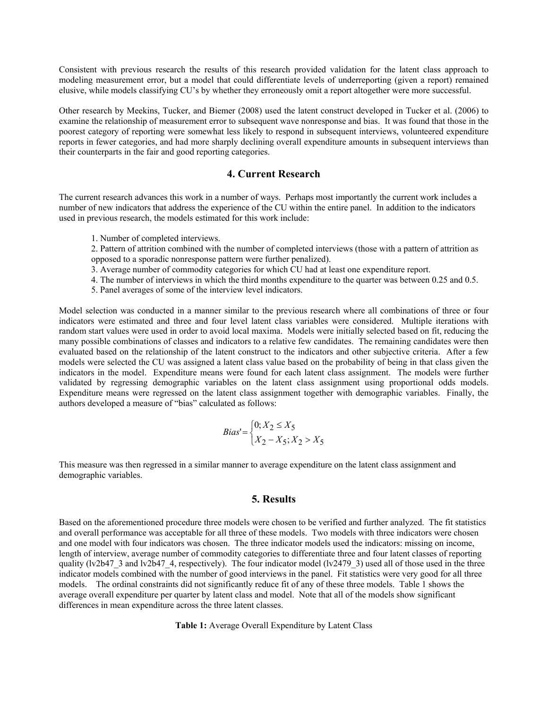Consistent with previous research the results of this research provided validation for the latent class approach to modeling measurement error, but a model that could differentiate levels of underreporting (given a report) remained elusive, while models classifying CU's by whether they erroneously omit a report altogether were more successful.

Other research by Meekins, Tucker, and Biemer (2008) used the latent construct developed in Tucker et al. (2006) to examine the relationship of measurement error to subsequent wave nonresponse and bias. It was found that those in the poorest category of reporting were somewhat less likely to respond in subsequent interviews, volunteered expenditure reports in fewer categories, and had more sharply declining overall expenditure amounts in subsequent interviews than their counterparts in the fair and good reporting categories.

## **4. Current Research**

The current research advances this work in a number of ways. Perhaps most importantly the current work includes a number of new indicators that address the experience of the CU within the entire panel. In addition to the indicators used in previous research, the models estimated for this work include:

1. Number of completed interviews.

 2. Pattern of attrition combined with the number of completed interviews (those with a pattern of attrition as opposed to a sporadic nonresponse pattern were further penalized).

- 3. Average number of commodity categories for which CU had at least one expenditure report.
- 4. The number of interviews in which the third months expenditure to the quarter was between 0.25 and 0.5.
- 5. Panel averages of some of the interview level indicators.

Model selection was conducted in a manner similar to the previous research where all combinations of three or four indicators were estimated and three and four level latent class variables were considered. Multiple iterations with random start values were used in order to avoid local maxima. Models were initially selected based on fit, reducing the many possible combinations of classes and indicators to a relative few candidates. The remaining candidates were then evaluated based on the relationship of the latent construct to the indicators and other subjective criteria. After a few models were selected the CU was assigned a latent class value based on the probability of being in that class given the indicators in the model. Expenditure means were found for each latent class assignment. The models were further validated by regressing demographic variables on the latent class assignment using proportional odds models. Expenditure means were regressed on the latent class assignment together with demographic variables. Finally, the authors developed a measure of "bias" calculated as follows:

$$
Bias' = \begin{cases} 0, X_2 \le X_5 \\ X_2 - X_5, X_2 > X_5 \end{cases}
$$

This measure was then regressed in a similar manner to average expenditure on the latent class assignment and demographic variables.

## **5. Results**

Based on the aforementioned procedure three models were chosen to be verified and further analyzed. The fit statistics and overall performance was acceptable for all three of these models. Two models with three indicators were chosen and one model with four indicators was chosen. The three indicator models used the indicators: missing on income, length of interview, average number of commodity categories to differentiate three and four latent classes of reporting quality (lv2b47\_3 and lv2b47\_4, respectively). The four indicator model (lv2479\_3) used all of those used in the three indicator models combined with the number of good interviews in the panel. Fit statistics were very good for all three models. The ordinal constraints did not significantly reduce fit of any of these three models. Table 1 shows the average overall expenditure per quarter by latent class and model. Note that all of the models show significant differences in mean expenditure across the three latent classes.

**Table 1:** Average Overall Expenditure by Latent Class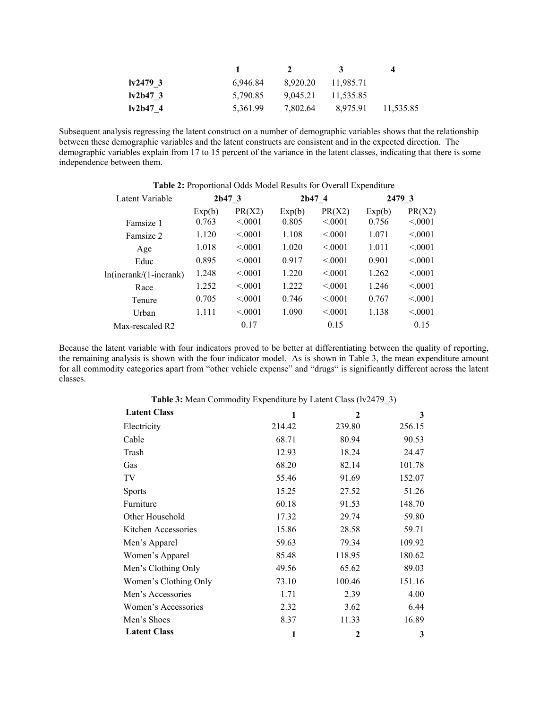|           |          |          |           | 4         |
|-----------|----------|----------|-----------|-----------|
| 1v24793   | 6,946.84 | 8.920.20 | 11.985.71 |           |
| $1v2b473$ | 5,790.85 | 9.045.21 | 11.535.85 |           |
| Iv2b474   | 5,361.99 | 7,802.64 | 8,975.91  | 11,535.85 |

Subsequent analysis regressing the latent construct on a number of demographic variables shows that the relationship between these demographic variables and the latent constructs are consistent and in the expected direction. The demographic variables explain from 17 to 15 percent of the variance in the latent classes, indicating that there is some independence between them.

| Latent Variable           | 2b473  |         | 2b474  |         | 2479 3 |         |
|---------------------------|--------|---------|--------|---------|--------|---------|
|                           | Exp(b) | PR(X2)  | Exp(b) | PR(X2)  | Exp(b) | PR(X2)  |
| Famsize 1                 | 0.763  | < 0.001 | 0.805  | < 0.001 | 0.756  | < 0.001 |
| Famsize 2                 | 1.120  | < 0.001 | 1.108  | < 0001  | 1.071  | < 0.001 |
| Age                       | 1.018  | < 0.001 | 1.020  | < 0.001 | 1.011  | < 0.001 |
| Educ                      | 0.895  | < 0.001 | 0.917  | < 0.001 | 0.901  | < 0.001 |
| $ln(incrank/(1-incrank))$ | 1 248  | < 0.001 | 1.220  | < 0001  | 1.262  | < 0.001 |
| Race                      | 1.252  | < 0.001 | 1.222  | < 0.001 | 1.246  | < 0.001 |
| Tenure                    | 0.705  | < 0.001 | 0.746  | < 0.001 | 0.767  | < 0.001 |
| Urban                     | 1.111  | < 0.001 | 1.090  | < 0.001 | 1.138  | < 0.001 |
| Max-rescaled R2           |        | 0.17    |        | 0.15    |        | 0.15    |

**Table 2:** Proportional Odds Model Results for Overall Expenditure

Because the latent variable with four indicators proved to be better at differentiating between the quality of reporting, the remaining analysis is shown with the four indicator model. As is shown in Table 3, the mean expenditure amount for all commodity categories apart from "other vehicle expense" and "drugs" is significantly different across the latent classes.

| <b>There</b> is mean commonly Experience of Early Choo $(1, 2, 1)$ |        |        |        |
|--------------------------------------------------------------------|--------|--------|--------|
| <b>Latent Class</b>                                                | 1      | 2      | 3      |
| Electricity                                                        | 214.42 | 239.80 | 256.15 |
| Cable                                                              | 68.71  | 80.94  | 90.53  |
| Trash                                                              | 12.93  | 18.24  | 24.47  |
| Gas                                                                | 68.20  | 82.14  | 101.78 |
| TV                                                                 | 55.46  | 91.69  | 152.07 |
| <b>Sports</b>                                                      | 15.25  | 27.52  | 51.26  |
| Furniture                                                          | 60.18  | 91.53  | 148.70 |
| Other Household                                                    | 17.32  | 29.74  | 59.80  |
| Kitchen Accessories                                                | 15.86  | 28.58  | 59.71  |
| Men's Apparel                                                      | 59.63  | 79.34  | 109.92 |
| Women's Apparel                                                    | 85.48  | 118.95 | 180.62 |
| Men's Clothing Only                                                | 49.56  | 65.62  | 89.03  |
| Women's Clothing Only                                              | 73.10  | 100.46 | 151.16 |
| Men's Accessories                                                  | 1.71   | 2.39   | 4.00   |
| Women's Accessories                                                | 2.32   | 3.62   | 6.44   |
| Men's Shoes                                                        | 8.37   | 11.33  | 16.89  |
| <b>Latent Class</b>                                                | 1      | 2      | 3      |

**Table 3:** Mean Commodity Expenditure by Latent Class (lv2479\_3)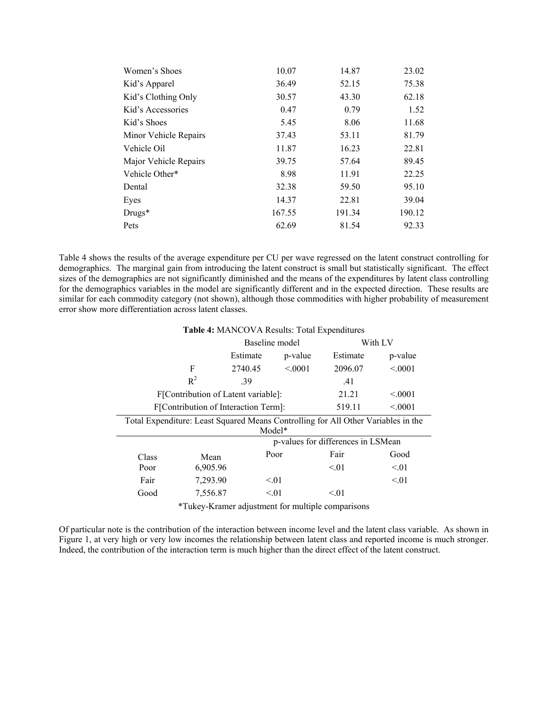| Women's Shoes         | 10.07  | 14.87  | 23.02  |
|-----------------------|--------|--------|--------|
| Kid's Apparel         | 36.49  | 52.15  | 75.38  |
| Kid's Clothing Only   | 30.57  | 43.30  | 62.18  |
| Kid's Accessories     | 0.47   | 0.79   | 1.52   |
| Kid's Shoes           | 5.45   | 8.06   | 11.68  |
| Minor Vehicle Repairs | 37.43  | 53.11  | 81.79  |
| Vehicle Oil           | 11.87  | 16.23  | 22.81  |
| Major Vehicle Repairs | 39.75  | 57.64  | 89.45  |
| Vehicle Other*        | 8.98   | 11.91  | 22.25  |
| Dental                | 32.38  | 59.50  | 95.10  |
| Eyes                  | 14.37  | 22.81  | 39.04  |
| $Drugs*$              | 167.55 | 191.34 | 190.12 |
| Pets                  | 62.69  | 81.54  | 92.33  |
|                       |        |        |        |

Table 4 shows the results of the average expenditure per CU per wave regressed on the latent construct controlling for demographics. The marginal gain from introducing the latent construct is small but statistically significant. The effect sizes of the demographics are not significantly diminished and the means of the expenditures by latent class controlling for the demographics variables in the model are significantly different and in the expected direction. These results are similar for each commodity category (not shown), although those commodities with higher probability of measurement error show more differentiation across latent classes.

| Table 4: MANCOVA Results: Total Expenditures                                                |                                                           |                |         |          |         |
|---------------------------------------------------------------------------------------------|-----------------------------------------------------------|----------------|---------|----------|---------|
|                                                                                             |                                                           | Baseline model |         | With LV  |         |
|                                                                                             |                                                           | Estimate       | p-value | Estimate | p-value |
|                                                                                             | F                                                         | 2740.45        | < 0.001 | 2096.07  | < 0.001 |
|                                                                                             | $R^2$                                                     | .39            |         | .41      |         |
| 21.21<br>F[Contribution of Latent variable]:                                                |                                                           |                |         |          | < 0.001 |
|                                                                                             | F[Contribution of Interaction Term]:<br>519.11<br>< 0.001 |                |         |          |         |
| Total Expenditure: Least Squared Means Controlling for All Other Variables in the<br>Model* |                                                           |                |         |          |         |
|                                                                                             | p-values for differences in LSMean                        |                |         |          |         |
| Class                                                                                       | Mean                                                      |                | Poor    | Fair     | Good    |
| Poor                                                                                        | 6,905.96                                                  |                |         | < 01     | < 01    |
| Fair                                                                                        | 7,293.90                                                  |                | < 01    |          | < 01    |
| Good                                                                                        | 7,556.87                                                  |                | < 01    | < 01     |         |
| *Tukey-Kramer adjustment for multiple comparisons                                           |                                                           |                |         |          |         |

Of particular note is the contribution of the interaction between income level and the latent class variable. As shown in Figure 1, at very high or very low incomes the relationship between latent class and reported income is much stronger. Indeed, the contribution of the interaction term is much higher than the direct effect of the latent construct.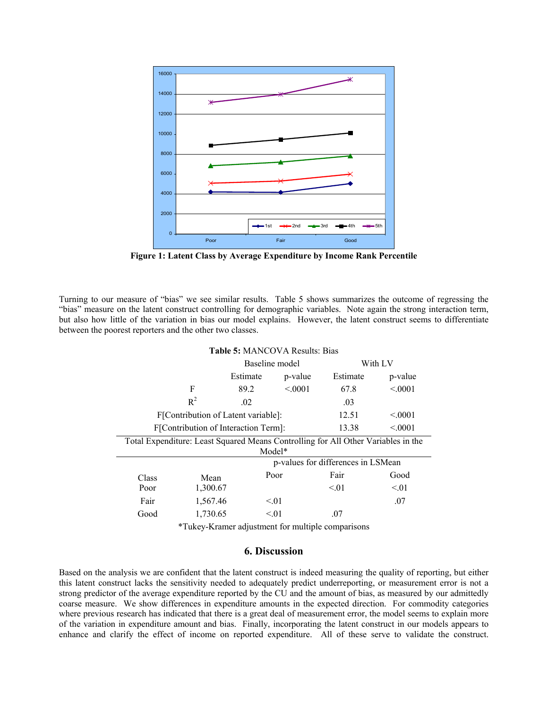

**Figure 1: Latent Class by Average Expenditure by Income Rank Percentile**

Turning to our measure of "bias" we see similar results. Table 5 shows summarizes the outcome of regressing the "bias" measure on the latent construct controlling for demographic variables. Note again the strong interaction term, but also how little of the variation in bias our model explains. However, the latent construct seems to differentiate between the poorest reporters and the other two classes.

**Table 5:** MANCOVA Results: Bias

| <b>THOIE 5: MANCOVA RESULTS: BIAS</b>                                                       |                                     |                                    |           |          |           |
|---------------------------------------------------------------------------------------------|-------------------------------------|------------------------------------|-----------|----------|-----------|
|                                                                                             |                                     | Baseline model                     |           | With LV  |           |
|                                                                                             |                                     | Estimate                           | p-value   | Estimate | p-value   |
|                                                                                             | F                                   | 89.2                               | < 0.001   | 67.8     | < 0.001   |
|                                                                                             | $R^2$                               | .02                                |           | .03      |           |
|                                                                                             | F[Contribution of Latent variable]: |                                    | 12.51     | < 0.001  |           |
| F[Contribution of Interaction Term]:                                                        |                                     |                                    |           | 13.38    | < 0.001   |
| Total Expenditure: Least Squared Means Controlling for All Other Variables in the<br>Model* |                                     |                                    |           |          |           |
|                                                                                             |                                     | p-values for differences in LSMean |           |          |           |
| Class                                                                                       | Mean                                |                                    | Poor      | Fair     | Good      |
| Poor                                                                                        | 1,300.67                            |                                    |           | < 01     | $\leq 01$ |
| Fair                                                                                        | 1,567.46                            |                                    | $\leq 01$ |          | .07       |
| Good                                                                                        | 1,730.65                            |                                    | < 01      | .07      |           |

\*Tukey-Kramer adjustment for multiple comparisons

## **6. Discussion**

Based on the analysis we are confident that the latent construct is indeed measuring the quality of reporting, but either this latent construct lacks the sensitivity needed to adequately predict underreporting, or measurement error is not a strong predictor of the average expenditure reported by the CU and the amount of bias, as measured by our admittedly coarse measure. We show differences in expenditure amounts in the expected direction. For commodity categories where previous research has indicated that there is a great deal of measurement error, the model seems to explain more of the variation in expenditure amount and bias. Finally, incorporating the latent construct in our models appears to enhance and clarify the effect of income on reported expenditure. All of these serve to validate the construct.